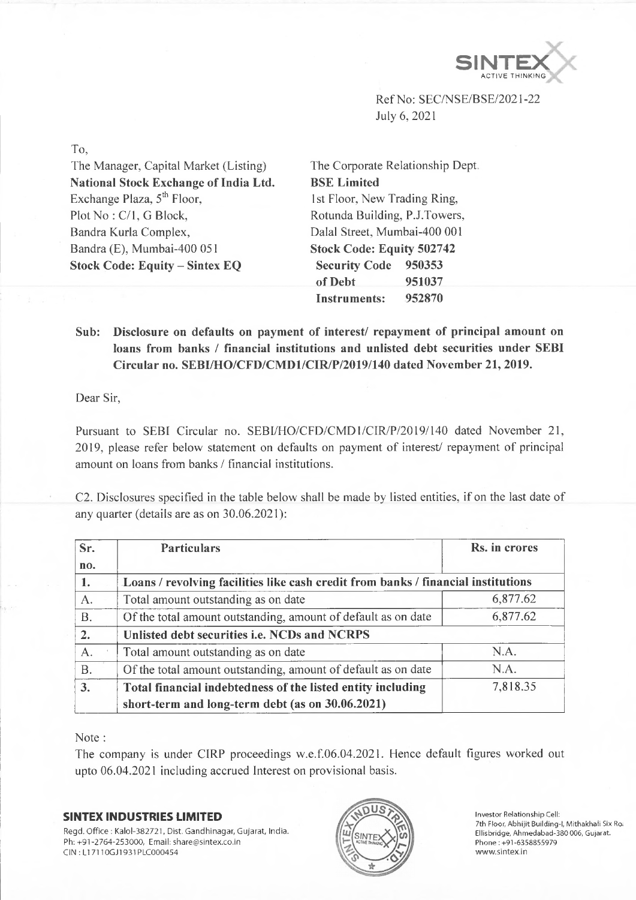

Ref No: SEC/NSE/BSE/2021-22 July 6, 2021

To,

The Manager, Capital Market (Listing) **National Stock Exchange of India Ltd.** Exchange Plaza,  $5<sup>th</sup>$  Floor, Plot No: C/1, G Block, Bandra Kurla Complex, Bandra (E), Mumbai-400 051 **Stock Code: Equity - Sintex EQ**

The Corporate Relationship Dept, **BSE Limited** 1st Floor, New Trading Ring, Rotunda Building, P.J.Towers, Dalai Street, Mumbai-400 001 **Stock Code: Equity 502742 Security Code 950353 of Debt 951037 Instruments: 952870**

## **Sub: Disclosure on defaults on payment of interest/ repayment of principal amount on loans from banks / financial institutions and unlisted debt securities under SEBI Circular no. SEBI/HO/CFD/CMD1/CIR/P/2019/140 dated November 21, 2019.**

Dear Sir,

Pursuant to SEBI Circular no. SEBI/HO/CFD/CMD1/CIR/P/2019/140 dated November 21, 2019, please refer below statement on defaults on payment of interest/ repayment of principal amount on loans from banks / financial institutions.

C2. Disclosures specified in the table below shall be made by listed entities, if on the last date of any quarter (details are as on 30.06.2021):

| Sr.       | <b>Particulars</b>                                                                | Rs. in crores |
|-----------|-----------------------------------------------------------------------------------|---------------|
| no.       |                                                                                   |               |
| 1.        | Loans / revolving facilities like cash credit from banks / financial institutions |               |
| A.        | Total amount outstanding as on date                                               | 6,877.62      |
| <b>B.</b> | Of the total amount outstanding, amount of default as on date                     | 6,877.62      |
| 2.        | Unlisted debt securities i.e. NCDs and NCRPS                                      |               |
| A.        | Total amount outstanding as on date                                               | N.A.          |
| <b>B.</b> | Of the total amount outstanding, amount of default as on date                     | N.A.          |
| 3.        | Total financial indebtedness of the listed entity including                       | 7,818.35      |
|           | short-term and long-term debt (as on 30.06.2021)                                  |               |

Note :

The company is under CIRP proceedings w.e.f.06.04.2021. Hence default figures worked out upto 06.04.2021 including accrued Interest on provisional basis.

## **SINTEX INDUSTRIES LIMITED**

Regd. Office : Kalol-382721, Dist. Gandhinagar, Gujarat, India. Ph: +91-2764-253000, Email: [share@sintex.co.in](mailto:share@sintex.co.in) CIN : LI 7110GJ1931PLC000454



Investor Relationship Cell: 7th Floor, Abhijit Building-1, Mithakhali Six Ro Ellisbridge, Ahmedabad-380 006, Gujarat. Phone:+91-6358855979 [www.sintex.in](http://www.sintex.in)